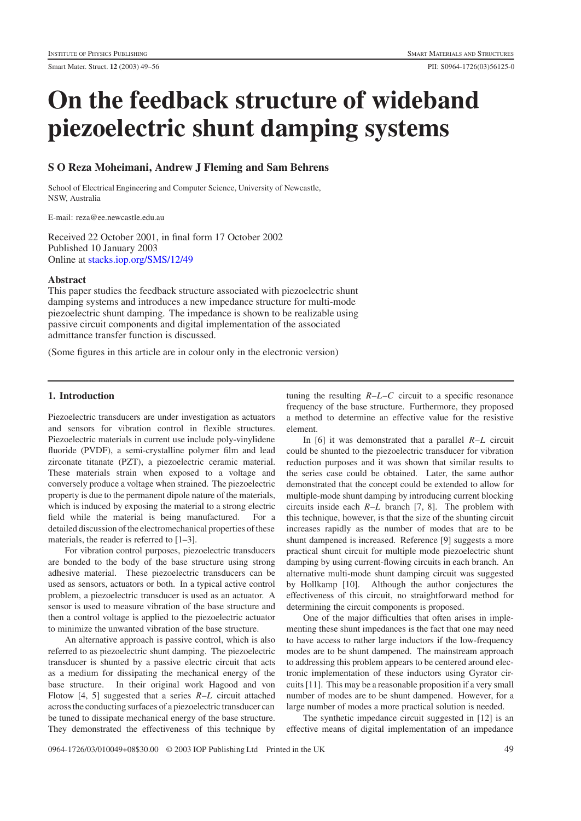# **On the feedback structure of wideband piezoelectric shunt damping systems**

# **SOReza Moheimani, Andrew J Fleming and Sam Behrens**

School of Electrical Engineering and Computer Science, University of Newcastle, NSW, Australia

E-mail: reza@ee.newcastle.edu.au

Received 22 October 2001, in final form 17 October 2002 Published 10 January 2003 Online at [stacks.iop.org/SMS/12/49](http://stacks.iop.org/SMS/12/49)

#### **Abstract**

This paper studies the feedback structure associated with piezoelectric shunt damping systems and introduces a new impedance structure for multi-mode piezoelectric shunt damping. The impedance is shown to be realizable using passive circuit components and digital implementation of the associated admittance transfer function is discussed.

(Some figures in this article are in colour only in the electronic version)

# **1. Introduction**

Piezoelectric transducers are under investigation as actuators and sensors for vibration control in flexible structures. Piezoelectric materials in current use include poly-vinylidene fluoride (PVDF), a semi-crystalline polymer film and lead zirconate titanate (PZT), a piezoelectric ceramic material. These materials strain when exposed to a voltage and conversely produce a voltage when strained. The piezoelectric property is due to the permanent dipole nature of the materials, which is induced by exposing the material to a strong electric field while the material is being manufactured. For a detailed discussion of the electromechanical properties of these materials, the reader is referred to  $[1-3]$ .

For vibration control purposes, piezoelectric transducers are bonded to the body of the base structure using strong adhesive material. These piezoelectric transducers can be used as sensors, actuators or both. In a typical active control problem, a piezoelectric transducer is used as an actuator. A sensor is used to measure vibration of the base structure and then a control voltage is applied to the piezoelectric actuator to minimize the unwanted vibration of the base structure.

An alternative approach is passive control, which is also referred to as piezoelectric shunt damping. The piezoelectric transducer is shunted by a passive electric circuit that acts as a medium for dissipating the mechanical energy of the base structure. In their original work Hagood and von Flotow [4, 5] suggested that a series *R*–*L* circuit attached across the conducting surfaces of a piezoelectric transducer can be tuned to dissipate mechanical energy of the base structure. They demonstrated the effectiveness of this technique by

tuning the resulting  $R-L-C$  circuit to a specific resonance frequency of the base structure. Furthermore, they proposed a method to determine an effective value for the resistive element.

In [6] it was demonstrated that a parallel *R*–*L* circuit could be shunted to the piezoelectric transducer for vibration reduction purposes and it was shown that similar results to the series case could be obtained. Later, the same author demonstrated that the concept could be extended to allow for multiple-mode shunt damping by introducing current blocking circuits inside each *R*–*L* branch [7, 8]. The problem with this technique, however, is that the size of the shunting circuit increases rapidly as the number of modes that are to be shunt dampened is increased. Reference [9] suggests a more practical shunt circuit for multiple mode piezoelectric shunt damping by using current-flowing circuits in each branch. An alternative multi-mode shunt damping circuit was suggested by Hollkamp [10]. Although the author conjectures the effectiveness of this circuit, no straightforward method for determining the circuit components is proposed.

One of the major difficulties that often arises in implementing these shunt impedances is the fact that one may need to have access to rather large inductors if the low-frequency modes are to be shunt dampened. The mainstream approach to addressing this problem appears to be centered around electronic implementation of these inductors using Gyrator circuits [11]. This may be a reasonable proposition if a very small number of modes are to be shunt dampened. However, for a large number of modes a more practical solution is needed.

The synthetic impedance circuit suggested in [12] is an effective means of digital implementation of an impedance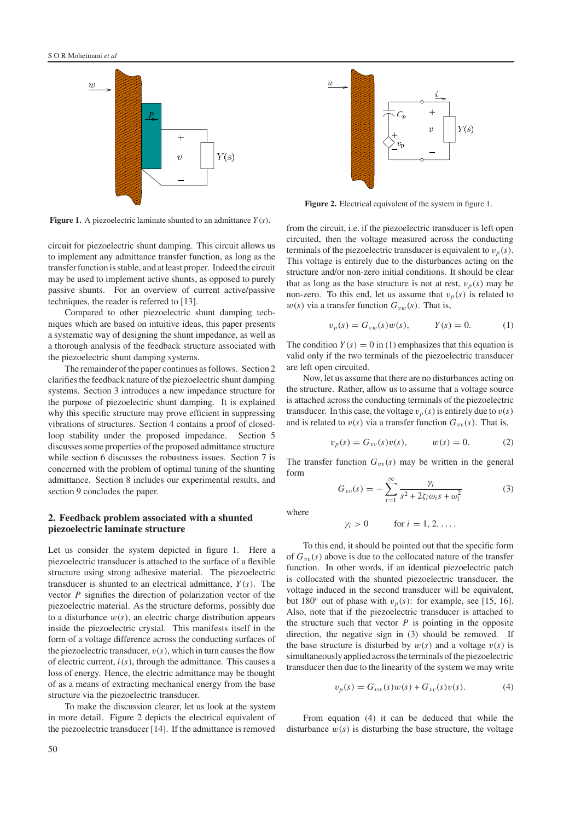

**Figure 1.** A piezoelectric laminate shunted to an admittance *Y*(*s*).

circuit for piezoelectric shunt damping. This circuit allows us to implement any admittance transfer function, as long as the transfer function is stable, and at least proper. Indeed the circuit may be used to implement active shunts, as opposed to purely passive shunts. For an overview of current active/passive techniques, the reader is referred to [13].

Compared to other piezoelectric shunt damping techniques which are based on intuitive ideas, this paper presents a systematic way of designing the shunt impedance, as well as a thorough analysis of the feedback structure associated with the piezoelectric shunt damping systems.

The remainder of the paper continues as follows. Section 2 clarifies the feedback nature of the piezoelectric shunt damping systems. Section 3 introduces a new impedance structure for the purpose of piezoelectric shunt damping. It is explained why this specific structure may prove efficient in suppressing vibrations of structures. Section 4 contains a proof of closedloop stability under the proposed impedance. Section 5 discusses some properties of the proposed admittance structure while section 6 discusses the robustness issues. Section 7 is concerned with the problem of optimal tuning of the shunting admittance. Section 8 includes our experimental results, and section 9 concludes the paper.

## **2. Feedback problem associated with a shunted piezoelectric laminate structure**

Let us consider the system depicted in figure 1. Here a piezoelectric transducer is attached to the surface of a flexible structure using strong adhesive material. The piezoelectric transducer is shunted to an electrical admittance, *Y* (*s*). The vector *P* signifies the direction of polarization vector of the piezoelectric material. As the structure deforms, possibly due to a disturbance  $w(s)$ , an electric charge distribution appears inside the piezoelectric crystal. This manifests itself in the form of a voltage difference across the conducting surfaces of the piezoelectric transducer,  $v(s)$ , which in turn causes the flow of electric current, *i*(*s*), through the admittance. This causes a loss of energy. Hence, the electric admittance may be thought of as a means of extracting mechanical energy from the base structure via the piezoelectric transducer.

To make the discussion clearer, let us look at the system in more detail. Figure 2 depicts the electrical equivalent of the piezoelectric transducer [14]. If the admittance is removed



**Figure 2.** Electrical equivalent of the system in figure 1.

from the circuit, i.e. if the piezoelectric transducer is left open circuited, then the voltage measured across the conducting terminals of the piezoelectric transducer is equivalent to  $v_p(s)$ . This voltage is entirely due to the disturbances acting on the structure and/or non-zero initial conditions. It should be clear that as long as the base structure is not at rest,  $v_p(s)$  may be non-zero. To this end, let us assume that  $v_p(s)$  is related to  $w(s)$  via a transfer function  $G_{vw}(s)$ . That is,

$$
v_p(s) = G_{vw}(s)w(s), \t Y(s) = 0.
$$
 (1)

The condition  $Y(s) = 0$  in (1) emphasizes that this equation is valid only if the two terminals of the piezoelectric transducer are left open circuited.

Now, let us assume that there are no disturbances acting on the structure. Rather, allow us to assume that a voltage source is attached across the conducting terminals of the piezoelectric transducer. In this case, the voltage  $v_p(s)$  is entirely due to  $v(s)$ and is related to  $v(s)$  via a transfer function  $G_{vv}(s)$ . That is,

$$
v_p(s) = G_{vv}(s)v(s), \t w(s) = 0.
$$
 (2)

The transfer function  $G_{vv}(s)$  may be written in the general form

$$
G_{vv}(s) = -\sum_{i=1}^{\infty} \frac{\gamma_i}{s^2 + 2\zeta_i \omega_i s + \omega_i^2}
$$
 (3)

where

$$
\gamma_i > 0 \qquad \text{for } i = 1, 2, \ldots.
$$

To this end, it should be pointed out that the specific form of  $G_{vv}(s)$  above is due to the collocated nature of the transfer function. In other words, if an identical piezoelectric patch is collocated with the shunted piezoelectric transducer, the voltage induced in the second transducer will be equivalent, but 180 $\degree$  out of phase with  $v_p(s)$ : for example, see [15, 16]. Also, note that if the piezoelectric transducer is attached to the structure such that vector  $P$  is pointing in the opposite direction, the negative sign in (3) should be removed. If the base structure is disturbed by  $w(s)$  and a voltage  $v(s)$  is simultaneously applied across the terminals of the piezoelectric transducer then due to the linearity of the system we may write

$$
v_p(s) = G_{vw}(s)w(s) + G_{vv}(s)v(s).
$$
 (4)

From equation (4) it can be deduced that while the disturbance  $w(s)$  is disturbing the base structure, the voltage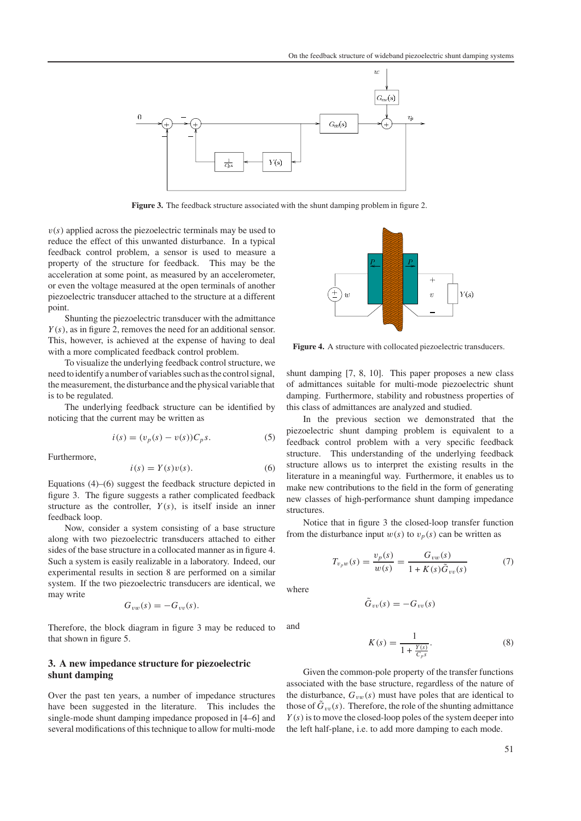

Figure 3. The feedback structure associated with the shunt damping problem in figure 2.

 $v(s)$  applied across the piezoelectric terminals may be used to reduce the effect of this unwanted disturbance. In a typical feedback control problem, a sensor is used to measure a property of the structure for feedback. This may be the acceleration at some point, as measured by an accelerometer, or even the voltage measured at the open terminals of another piezoelectric transducer attached to the structure at a different point.

Shunting the piezoelectric transducer with the admittance *Y* (*s*), as in figure 2, removes the need for an additional sensor. This, however, is achieved at the expense of having to deal with a more complicated feedback control problem.

To visualize the underlying feedback control structure, we need to identify a number of variables such as the control signal, the measurement, the disturbance and the physical variable that is to be regulated.

The underlying feedback structure can be identified by noticing that the current may be written as

$$
i(s) = (v_p(s) - v(s))C_p s.
$$
 (5)

Furthermore,

$$
i(s) = Y(s)v(s).
$$
 (6)

Equations (4)–(6) suggest the feedback structure depicted in figure 3. The figure suggests a rather complicated feedback structure as the controller,  $Y(s)$ , is itself inside an inner feedback loop.

Now, consider a system consisting of a base structure along with two piezoelectric transducers attached to either sides of the base structure in a collocated manner as in figure 4. Such a system is easily realizable in a laboratory. Indeed, our experimental results in section 8 are performed on a similar system. If the two piezoelectric transducers are identical, we may write

$$
G_{vw}(s)=-G_{vv}(s).
$$

Therefore, the block diagram in figure 3 may be reduced to that shown in figure 5.

## **3. A new impedance structure for piezoelectric shunt damping**

Over the past ten years, a number of impedance structures have been suggested in the literature. This includes the single-mode shunt damping impedance proposed in [4–6] and several modifications of this technique to allow for multi-mode



**Figure 4.** A structure with collocated piezoelectric transducers.

shunt damping [7, 8, 10]. This paper proposes a new class of admittances suitable for multi-mode piezoelectric shunt damping. Furthermore, stability and robustness properties of this class of admittances are analyzed and studied.

In the previous section we demonstrated that the piezoelectric shunt damping problem is equivalent to a feedback control problem with a very specific feedback structure. This understanding of the underlying feedback structure allows us to interpret the existing results in the literature in a meaningful way. Furthermore, it enables us to make new contributions to the field in the form of generating new classes of high-performance shunt damping impedance structures.

Notice that in figure 3 the closed-loop transfer function from the disturbance input  $w(s)$  to  $v_p(s)$  can be written as

 $\tilde{G}_{vv}(s) = -G_{vv}(s)$ 

$$
T_{v_p w}(s) = \frac{v_p(s)}{w(s)} = \frac{G_{vw}(s)}{1 + K(s)\tilde{G}_{vv}(s)}
$$
(7)

where

and

$$
K(s) = \frac{1}{1 + \frac{Y(s)}{C_{p}s}}.\t(8)
$$

Given the common-pole property of the transfer functions associated with the base structure, regardless of the nature of the disturbance,  $G_{vw}(s)$  must have poles that are identical to those of  $\tilde{G}_{vv}(s)$ . Therefore, the role of the shunting admittance  $Y(s)$  is to move the closed-loop poles of the system deeper into the left half-plane, i.e. to add more damping to each mode.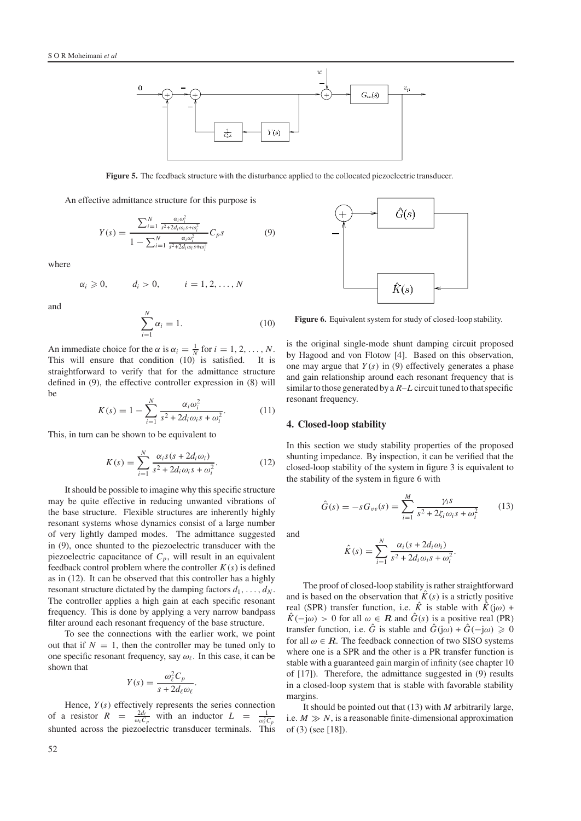

**Figure 5.** The feedback structure with the disturbance applied to the collocated piezoelectric transducer.

An effective admittance structure for this purpose is

$$
Y(s) = \frac{\sum_{i=1}^{N} \frac{\alpha_i \omega_i^2}{s^2 + 2d_i \omega_i s + \omega_i^2}}{1 - \sum_{i=1}^{N} \frac{\alpha_i \omega_i^2}{s^2 + 2d_i \omega_i s + \omega_i^2}} C_p s
$$
(9)

where

$$
\alpha_i \geqslant 0, \qquad d_i > 0, \qquad i = 1, 2, \dots, N
$$

and

$$
\sum_{i=1}^{N} \alpha_i = 1.
$$
\n(10)

An immediate choice for the  $\alpha$  is  $\alpha_i = \frac{1}{N}$  for  $i = 1, 2, ..., N$ . This will ensure that condition (10) is satisfied. It is straightforward to verify that for the admittance structure defined in (9), the effective controller expression in (8) will be

$$
K(s) = 1 - \sum_{i=1}^{N} \frac{\alpha_i \omega_i^2}{s^2 + 2d_i \omega_i s + \omega_i^2}.
$$
 (11)

This, in turn can be shown to be equivalent to

$$
K(s) = \sum_{i=1}^{N} \frac{\alpha_i s(s + 2d_i \omega_i)}{s^2 + 2d_i \omega_i s + \omega_i^2}.
$$
 (12)

It should be possible to imagine why this specific structure may be quite effective in reducing unwanted vibrations of the base structure. Flexible structures are inherently highly resonant systems whose dynamics consist of a large number of very lightly damped modes. The admittance suggested in (9), once shunted to the piezoelectric transducer with the piezoelectric capacitance of  $C_p$ , will result in an equivalent feedback control problem where the controller  $K(s)$  is defined as in (12). It can be observed that this controller has a highly resonant structure dictated by the damping factors  $d_1, \ldots, d_N$ . The controller applies a high gain at each specific resonant frequency. This is done by applying a very narrow bandpass filter around each resonant frequency of the base structure.

To see the connections with the earlier work, we point out that if  $N = 1$ , then the controller may be tuned only to one specific resonant frequency, say  $\omega_{\ell}$ . In this case, it can be shown that

$$
Y(s) = \frac{\omega_{\ell}^2 C_p}{s + 2d_{\ell}\omega_{\ell}}.
$$

Hence,  $Y(s)$  effectively represents the series connection of a resistor  $R = \frac{2d_{\ell}}{\omega_{\ell}C_p}$  with an inductor  $L = \frac{1}{\omega_{\ell}^2C_p}$  shunted across the piezoelectric transducer terminals. This

![](_page_3_Figure_17.jpeg)

**Figure 6.** Equivalent system for study of closed-loop stability.

is the original single-mode shunt damping circuit proposed by Hagood and von Flotow [4]. Based on this observation, one may argue that  $Y(s)$  in (9) effectively generates a phase and gain relationship around each resonant frequency that is similar to those generated by a *R*–*L* circuit tuned to that specific resonant frequency.

#### **4. Closed-loop stability**

In this section we study stability properties of the proposed shunting impedance. By inspection, it can be verified that the closed-loop stability of the system in figure 3 is equivalent to the stability of the system in figure 6 with

$$
\hat{G}(s) = -s G_{vv}(s) = \sum_{i=1}^{M} \frac{\gamma_i s}{s^2 + 2\zeta_i \omega_i s + \omega_i^2}
$$
(13)

.

and

$$
\hat{K}(s) = \sum_{i=1}^{N} \frac{\alpha_i (s + 2d_i \omega_i)}{s^2 + 2d_i \omega_i s + \omega_i^2}
$$

The proof of closed-loop stability is rather straightforward and is based on the observation that  $\hat{K}(s)$  is a strictly positive real (SPR) transfer function, i.e.  $\hat{K}$  is stable with  $\hat{K}$ (jω) +  $\hat{K}(-j\omega) > 0$  for all  $\omega \in \mathbb{R}$  and  $\hat{G}(s)$  is a positive real (PR) transfer function, i.e.  $\hat{G}$  is stable and  $\hat{G}$ (jω) +  $\hat{G}$ (-jω)  $\geq 0$ for all  $\omega \in \mathbb{R}$ . The feedback connection of two SISO systems where one is a SPR and the other is a PR transfer function is stable with a guaranteed gain margin of infinity (see chapter 10 of [17]). Therefore, the admittance suggested in (9) results in a closed-loop system that is stable with favorable stability margins.

It should be pointed out that (13) with *M* arbitrarily large, i.e.  $M \gg N$ , is a reasonable finite-dimensional approximation of (3) (see [18]).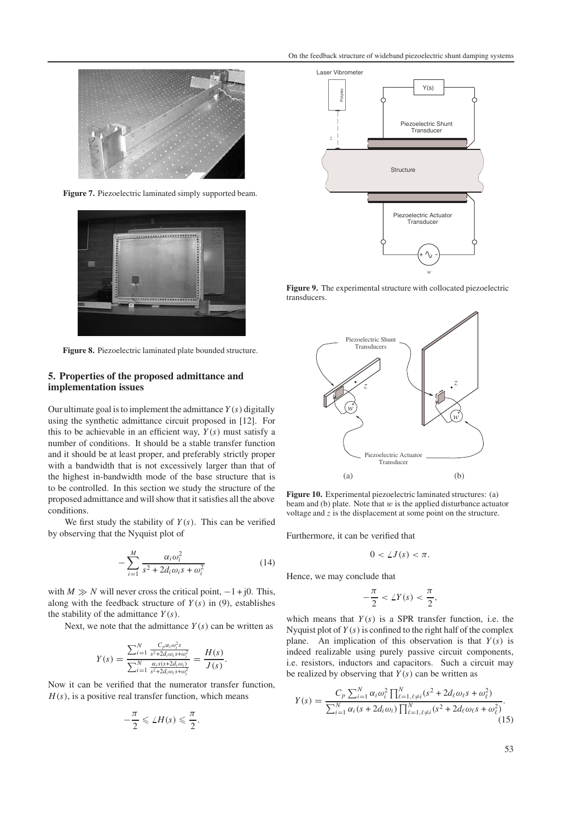![](_page_4_Picture_1.jpeg)

**Figure 7.** Piezoelectric laminated simply supported beam.

![](_page_4_Picture_3.jpeg)

**Figure 8.** Piezoelectric laminated plate bounded structure.

## **5. Properties of the proposed admittance and implementation issues**

Our ultimate goal is to implement the admittance  $Y(s)$  digitally using the synthetic admittance circuit proposed in [12]. For this to be achievable in an efficient way,  $Y(s)$  must satisfy a number of conditions. It should be a stable transfer function and it should be at least proper, and preferably strictly proper with a bandwidth that is not excessively larger than that of the highest in-bandwidth mode of the base structure that is to be controlled. In this section we study the structure of the proposed admittance and will show that it satisfies all the above conditions.

We first study the stability of  $Y(s)$ . This can be verified by observing that the Nyquist plot of

$$
-\sum_{i=1}^{M} \frac{\alpha_i \omega_i^2}{s^2 + 2d_i \omega_i s + \omega_i^2}
$$
 (14)

with  $M \gg N$  will never cross the critical point,  $-1 + j0$ . This, along with the feedback structure of  $Y(s)$  in (9), establishes the stability of the admittance *Y* (*s*).

Next, we note that the admittance  $Y(s)$  can be written as

$$
Y(s) = \frac{\sum_{i=1}^{N} \frac{C_{p} \alpha_{i} \omega_{i}^{2} s}{s^{2} + 2d_{i} \omega_{i} s + \omega_{i}^{2}}} {\sum_{i=1}^{N} \frac{\alpha_{i} s(s + 2d_{i} \omega_{i})}{s^{2} + 2d_{i} \omega_{i} s + \omega_{i}^{2}}} = \frac{H(s)}{J(s)}.
$$

Now it can be verified that the numerator transfer function,  $H(s)$ , is a positive real transfer function, which means

$$
-\frac{\pi}{2} \leqslant \angle H(s) \leqslant \frac{\pi}{2}.
$$

![](_page_4_Figure_14.jpeg)

**Figure 9.** The experimental structure with collocated piezoelectric transducers.

![](_page_4_Figure_16.jpeg)

**Figure 10.** Experimental piezoelectric laminated structures: (a) beam and (b) plate. Note that  $w$  is the applied disturbance actuator voltage and *z* is the displacement at some point on the structure.

Furthermore, it can be verified that

$$
0<\angle J(s)<\pi.
$$

Hence, we may conclude that

$$
-\frac{\pi}{2} < \angle Y(s) < \frac{\pi}{2},
$$

which means that  $Y(s)$  is a SPR transfer function, i.e. the Nyquist plot of  $Y(s)$  is confined to the right half of the complex plane. An implication of this observation is that  $Y(s)$  is indeed realizable using purely passive circuit components, i.e. resistors, inductors and capacitors. Such a circuit may be realized by observing that  $Y(s)$  can be written as

$$
Y(s) = \frac{C_p \sum_{i=1}^{N} \alpha_i \omega_i^2 \prod_{\ell=1, \ell \neq i}^{N} (s^2 + 2d_\ell \omega_\ell s + \omega_\ell^2)}{\sum_{i=1}^{N} \alpha_i (s + 2d_i \omega_i) \prod_{\ell=1, \ell \neq i}^{N} (s^2 + 2d_\ell \omega_\ell s + \omega_\ell^2)}.
$$
\n(15)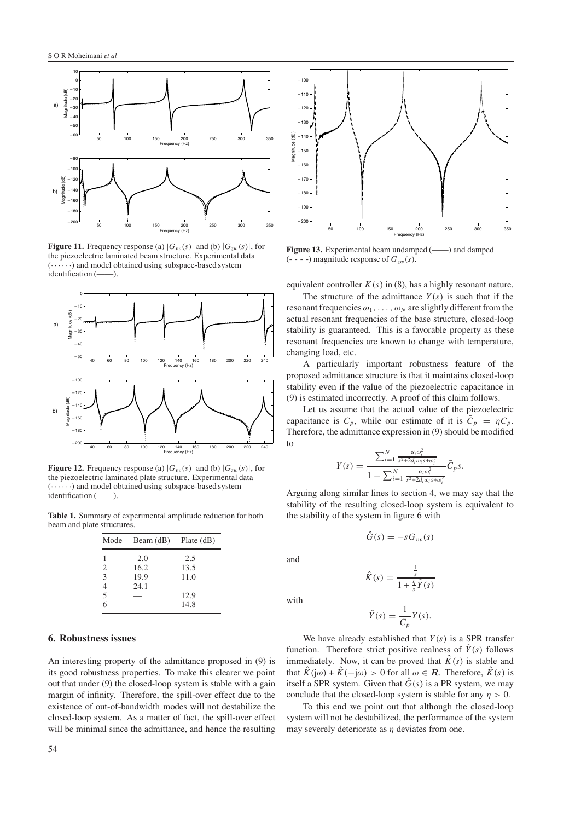![](_page_5_Figure_1.jpeg)

**Figure 11.** Frequency response (a)  $|G_{vv}(s)|$  and (b)  $|G_{zw}(s)|$ , for the piezoelectric laminated beam structure. Experimental data  $(\cdots)$  and model obtained using subspace-based system<br>identification  $(\cdots)$ identification (-

![](_page_5_Figure_3.jpeg)

**Figure 12.** Frequency response (a)  $|G_{vv}(s)|$  and (b)  $|G_{zw}(s)|$ , for the piezoelectric laminated plate structure. Experimental data (· · ····) and model obtained using subspace-based system identification (——).

**Table 1.** Summary of experimental amplitude reduction for both beam and plate structures.

| Mode | Beam $(dB)$ Plate $(dB)$ |      |
|------|--------------------------|------|
|      | 2.0                      | 2.5  |
| 2    | 16.2                     | 13.5 |
| 3    | 19.9                     | 11.0 |
|      | 24.1                     |      |
| 5    |                          | 12.9 |
| 6    |                          | 14.8 |

## **6. Robustness issues**

An interesting property of the admittance proposed in (9) is its good robustness properties. To make this clearer we point out that under (9) the closed-loop system is stable with a gain margin of infinity. Therefore, the spill-over effect due to the existence of out-of-bandwidth modes will not destabilize the closed-loop system. As a matter of fact, the spill-over effect will be minimal since the admittance, and hence the resulting

![](_page_5_Figure_9.jpeg)

**Figure 13.** Experimental beam undamped (——) and damped  $(- - -)$  magnitude response of  $G_{zw}(s)$ .

equivalent controller  $K(s)$  in (8), has a highly resonant nature.

The structure of the admittance  $Y(s)$  is such that if the resonant frequencies  $\omega_1, \ldots, \omega_N$  are slightly different from the actual resonant frequencies of the base structure, closed-loop stability is guaranteed. This is a favorable property as these resonant frequencies are known to change with temperature, changing load, etc.

A particularly important robustness feature of the proposed admittance structure is that it maintains closed-loop stability even if the value of the piezoelectric capacitance in (9) is estimated incorrectly. A proof of this claim follows.

Let us assume that the actual value of the piezoelectric capacitance is  $C_p$ , while our estimate of it is  $\bar{C}_p = \eta C_p$ . Therefore, the admittance expression in (9) should be modified to

$$
Y(s) = \frac{\sum_{i=1}^{N} \frac{\alpha_i \omega_i^2}{s^2 + 2d_i \omega_i s + \omega_i^2}}{1 - \sum_{i=1}^{N} \frac{\alpha_i \omega_i^2}{s^2 + 2d_i \omega_i s + \omega_i^2}} \bar{C}_P s.
$$

Arguing along similar lines to section 4, we may say that the stability of the resulting closed-loop system is equivalent to the stability of the system in figure 6 with

$$
\ddot{G}(s) = -s G_{vv}(s)
$$

$$
\hat{K}(s) = \frac{\frac{1}{s}}{1 + \frac{\eta}{s}\tilde{Y}(s)}
$$

with

and

$$
\tilde{Y}(s) = \frac{1}{C_p} Y(s).
$$

We have already established that *Y* (*s*) is a SPR transfer function. Therefore strict positive realness of  $\tilde{Y}(s)$  follows immediately. Now, it can be proved that  $\hat{K}(s)$  is stable and that  $\hat{K}(j\omega) + \hat{K}(-j\omega) > 0$  for all  $\omega \in \mathbb{R}$ . Therefore,  $\hat{K}(s)$  is itself a SPR system. Given that  $\hat{G}(s)$  is a PR system, we may conclude that the closed-loop system is stable for any  $\eta > 0$ .

To this end we point out that although the closed-loop system will not be destabilized, the performance of the system may severely deteriorate as  $\eta$  deviates from one.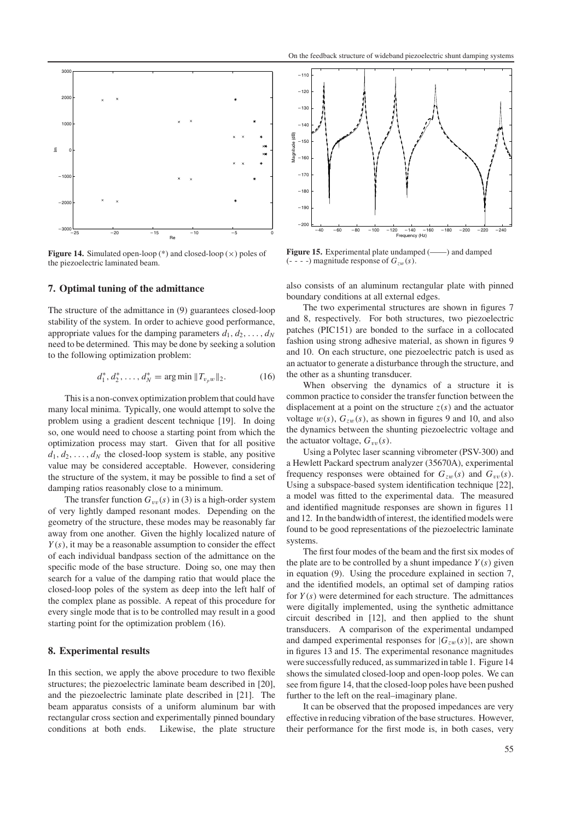![](_page_6_Figure_1.jpeg)

**Figure 14.** Simulated open-loop (\*) and closed-loop  $(\times)$  poles of the piezoelectric laminated beam.

# **7. Optimal tuning of the admittance**

The structure of the admittance in (9) guarantees closed-loop stability of the system. In order to achieve good performance, appropriate values for the damping parameters  $d_1, d_2, \ldots, d_N$ need to be determined. This may be done by seeking a solution to the following optimization problem:

$$
d_1^*, d_2^*, \dots, d_N^* = \arg \min \|T_{v_p w}\|_2. \tag{16}
$$

This is a non-convex optimization problem that could have many local minima. Typically, one would attempt to solve the problem using a gradient descent technique [19]. In doing so, one would need to choose a starting point from which the optimization process may start. Given that for all positive  $d_1, d_2, \ldots, d_N$  the closed-loop system is stable, any positive value may be considered acceptable. However, considering the structure of the system, it may be possible to find a set of damping ratios reasonably close to a minimum.

The transfer function  $G_{vv}(s)$  in (3) is a high-order system of very lightly damped resonant modes. Depending on the geometry of the structure, these modes may be reasonably far away from one another. Given the highly localized nature of *Y* (*s*), it may be a reasonable assumption to consider the effect of each individual bandpass section of the admittance on the specific mode of the base structure. Doing so, one may then search for a value of the damping ratio that would place the closed-loop poles of the system as deep into the left half of the complex plane as possible. A repeat of this procedure for every single mode that is to be controlled may result in a good starting point for the optimization problem (16).

## **8. Experimental results**

In this section, we apply the above procedure to two flexible structures; the piezoelectric laminate beam described in [20], and the piezoelectric laminate plate described in [21]. The beam apparatus consists of a uniform aluminum bar with rectangular cross section and experimentally pinned boundary conditions at both ends. Likewise, the plate structure

![](_page_6_Figure_10.jpeg)

**Figure 15.** Experimental plate undamped (——) and damped  $(- - -)$  magnitude response of  $G_{zw}(s)$ .

also consists of an aluminum rectangular plate with pinned boundary conditions at all external edges.

The two experimental structures are shown in figures 7 and 8, respectively. For both structures, two piezoelectric patches (PIC151) are bonded to the surface in a collocated fashion using strong adhesive material, as shown in figures 9 and 10. On each structure, one piezoelectric patch is used as an actuator to generate a disturbance through the structure, and the other as a shunting transducer.

When observing the dynamics of a structure it is common practice to consider the transfer function between the displacement at a point on the structure  $z(s)$  and the actuator voltage  $w(s)$ ,  $G_{zw}(s)$ , as shown in figures 9 and 10, and also the dynamics between the shunting piezoelectric voltage and the actuator voltage,  $G_{vv}(s)$ .

Using a Polytec laser scanning vibrometer (PSV-300) and a Hewlett Packard spectrum analyzer (35670A), experimental frequency responses were obtained for  $G_{zw}(s)$  and  $G_{vv}(s)$ . Using a subspace-based system identification technique [22], a model was fitted to the experimental data. The measured and identified magnitude responses are shown in figures 11 and 12. In the bandwidth of interest, the identified models were found to be good representations of the piezoelectric laminate systems.

The first four modes of the beam and the first six modes of the plate are to be controlled by a shunt impedance  $Y(s)$  given in equation (9). Using the procedure explained in section 7, and the identified models, an optimal set of damping ratios for  $Y(s)$  were determined for each structure. The admittances were digitally implemented, using the synthetic admittance circuit described in [12], and then applied to the shunt transducers. A comparison of the experimental undamped and damped experimental responses for  $|G_{zw}(s)|$ , are shown in figures 13 and 15. The experimental resonance magnitudes were successfully reduced, as summarized in table 1. Figure 14 shows the simulated closed-loop and open-loop poles. We can see from figure 14, that the closed-loop poles have been pushed further to the left on the real–imaginary plane.

It can be observed that the proposed impedances are very effective in reducing vibration of the base structures. However, their performance for the first mode is, in both cases, very